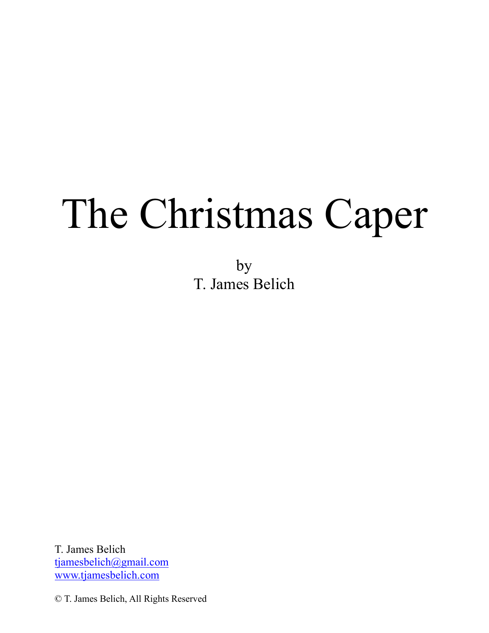# The Christmas Caper

by T. James Belich

T. James Belich tjamesbelich@gmail.com www.tjamesbelich.com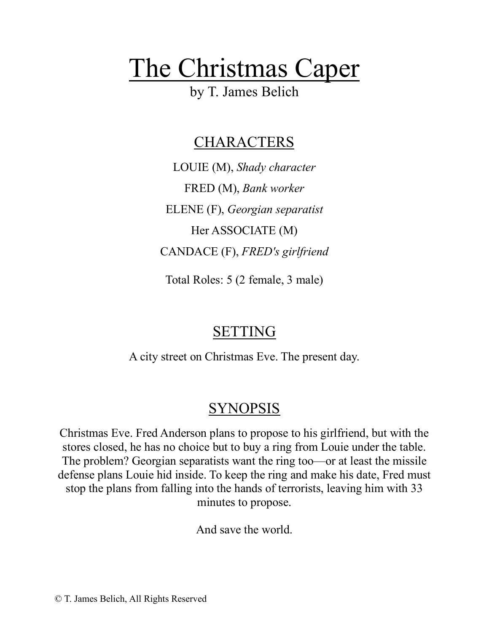# The Christmas Caper

by T. James Belich

## CHARACTERS

LOUIE (M), *Shady character* FRED (M), *Bank worker* ELENE (F), *Georgian separatist* Her ASSOCIATE (M) CANDACE (F), *FRED's girlfriend*

Total Roles: 5 (2 female, 3 male)

# SETTING

A city street on Christmas Eve. The present day.

# SYNOPSIS

Christmas Eve. Fred Anderson plans to propose to his girlfriend, but with the stores closed, he has no choice but to buy a ring from Louie under the table. The problem? Georgian separatists want the ring too—or at least the missile defense plans Louie hid inside. To keep the ring and make his date, Fred must stop the plans from falling into the hands of terrorists, leaving him with 33 minutes to propose.

And save the world.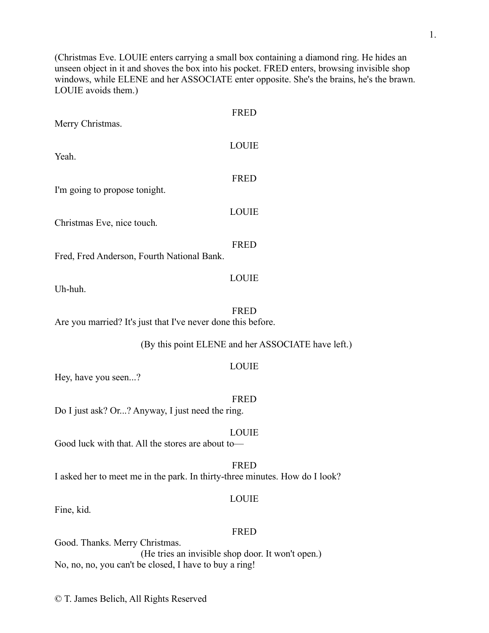(Christmas Eve. LOUIE enters carrying a small box containing a diamond ring. He hides an unseen object in it and shoves the box into his pocket. FRED enters, browsing invisible shop windows, while ELENE and her ASSOCIATE enter opposite. She's the brains, he's the brawn. LOUIE avoids them.)

|                                                              | <b>FRED</b>                                        |
|--------------------------------------------------------------|----------------------------------------------------|
| Merry Christmas.                                             |                                                    |
| Yeah.                                                        | <b>LOUIE</b>                                       |
| I'm going to propose tonight.                                | <b>FRED</b>                                        |
| Christmas Eve, nice touch.                                   | <b>LOUIE</b>                                       |
| Fred, Fred Anderson, Fourth National Bank.                   | <b>FRED</b>                                        |
| Uh-huh.                                                      | <b>LOUIE</b>                                       |
| Are you married? It's just that I've never done this before. | <b>FRED</b>                                        |
|                                                              | (By this point ELENE and her ASSOCIATE have left.) |
|                                                              | LOUIE                                              |

Hey, have you seen...?

FRED Do I just ask? Or...? Anyway, I just need the ring. LOUIE Good luck with that. All the stores are about to— FRED

I asked her to meet me in the park. In thirty-three minutes. How do I look?

#### LOUIE

Fine, kid.

#### FRED

Good. Thanks. Merry Christmas. (He tries an invisible shop door. It won't open.) No, no, no, you can't be closed, I have to buy a ring!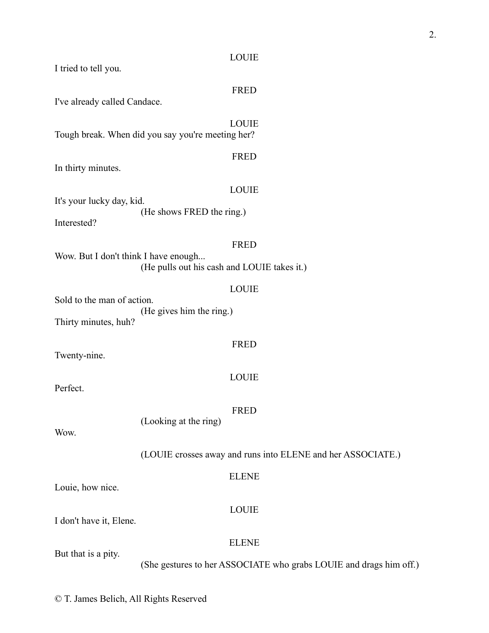I tried to tell you.

#### FRED

I've already called Candace.

LOUIE Tough break. When did you say you're meeting her?

In thirty minutes.

#### LOUIE

FRED

It's your lucky day, kid. (He shows FRED the ring.)

Interested?

#### FRED

Wow. But I don't think I have enough... (He pulls out his cash and LOUIE takes it.)

#### LOUIE

FRED

LOUIE

Sold to the man of action. (He gives him the ring.) Thirty minutes, huh?

Twenty-nine.

Perfect.

#### FRED

(Looking at the ring)

Wow.

(LOUIE crosses away and runs into ELENE and her ASSOCIATE.)

#### ELENE

Louie, how nice.

#### LOUIE

I don't have it, Elene.

#### ELENE

But that is a pity.

(She gestures to her ASSOCIATE who grabs LOUIE and drags him off.)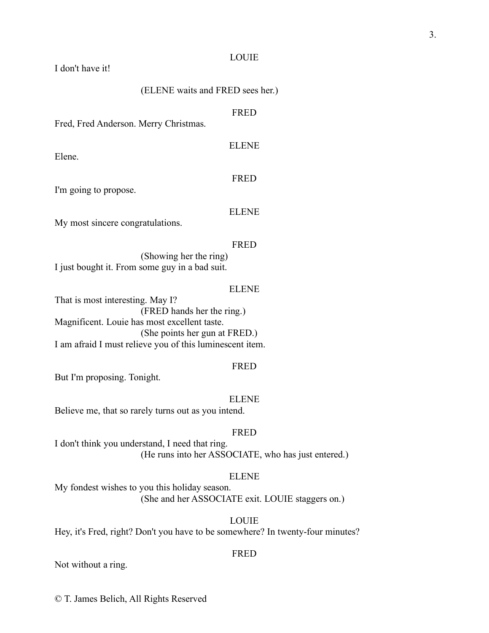#### I don't have it!

#### (ELENE waits and FRED sees her.)

#### FRED

ELENE

Fred, Fred Anderson. Merry Christmas.

Elene.

#### FRED

I'm going to propose.

#### ELENE

My most sincere congratulations.

#### FRED

(Showing her the ring) I just bought it. From some guy in a bad suit.

#### ELENE

That is most interesting. May I? (FRED hands her the ring.) Magnificent. Louie has most excellent taste. (She points her gun at FRED.) I am afraid I must relieve you of this luminescent item.

#### FRED

But I'm proposing. Tonight.

#### ELENE

Believe me, that so rarely turns out as you intend.

#### FRED

I don't think you understand, I need that ring. (He runs into her ASSOCIATE, who has just entered.)

#### ELENE

My fondest wishes to you this holiday season. (She and her ASSOCIATE exit. LOUIE staggers on.)

#### LOUIE

Hey, it's Fred, right? Don't you have to be somewhere? In twenty-four minutes?

#### FRED

Not without a ring.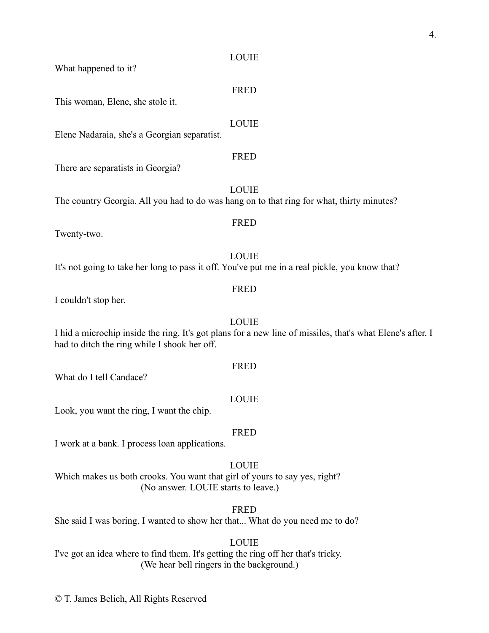FRED

What happened to it?

This woman, Elene, she stole it.

#### LOUIE

Elene Nadaraia, she's a Georgian separatist.

#### FRED

There are separatists in Georgia?

LOUIE The country Georgia. All you had to do was hang on to that ring for what, thirty minutes?

Twenty-two.

LOUIE It's not going to take her long to pass it off. You've put me in a real pickle, you know that?

I couldn't stop her.

I hid a microchip inside the ring. It's got plans for a new line of missiles, that's what Elene's after. I had to ditch the ring while I shook her off.

FRED

What do I tell Candace?

#### LOUIE

Look, you want the ring, I want the chip.

#### FRED

I work at a bank. I process loan applications.

LOUIE Which makes us both crooks. You want that girl of yours to say yes, right? (No answer. LOUIE starts to leave.)

#### FRED

She said I was boring. I wanted to show her that... What do you need me to do?

#### LOUIE

I've got an idea where to find them. It's getting the ring off her that's tricky. (We hear bell ringers in the background.)

© T. James Belich, All Rights Reserved

#### FRED

### LOUIE

FRED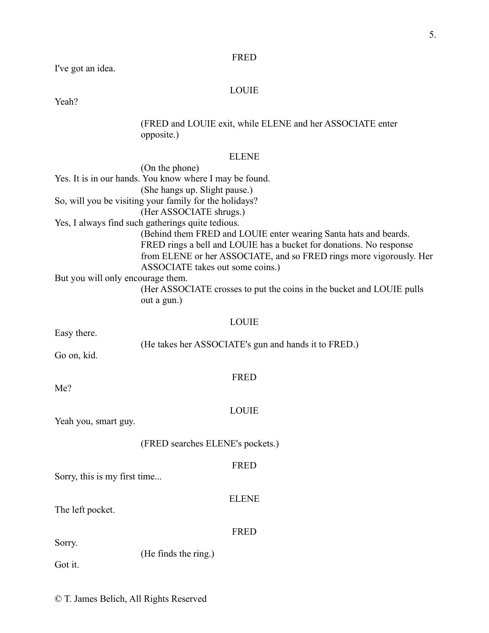#### FRED

I've got an idea.

#### LOUIE

Yeah?

#### (FRED and LOUIE exit, while ELENE and her ASSOCIATE enter opposite.)

#### ELENE

|                                   | (On the phone)                                                                                                                                                                                                                                     |
|-----------------------------------|----------------------------------------------------------------------------------------------------------------------------------------------------------------------------------------------------------------------------------------------------|
|                                   | Yes. It is in our hands. You know where I may be found.                                                                                                                                                                                            |
|                                   | (She hangs up. Slight pause.)                                                                                                                                                                                                                      |
|                                   | So, will you be visiting your family for the holidays?                                                                                                                                                                                             |
|                                   | (Her ASSOCIATE shrugs.)                                                                                                                                                                                                                            |
|                                   | Yes, I always find such gatherings quite tedious.                                                                                                                                                                                                  |
|                                   | (Behind them FRED and LOUIE enter wearing Santa hats and beards.<br>FRED rings a bell and LOUIE has a bucket for donations. No response<br>from ELENE or her ASSOCIATE, and so FRED rings more vigorously. Her<br>ASSOCIATE takes out some coins.) |
| But you will only encourage them. | (Her ASSOCIATE crosses to put the coins in the bucket and LOUIE pulls<br>out a gun.)                                                                                                                                                               |
|                                   | <b>LOUIE</b>                                                                                                                                                                                                                                       |
| Easy there.                       | (He takes her ASSOCIATE's gun and hands it to FRED.)                                                                                                                                                                                               |
| Go on, kid.                       |                                                                                                                                                                                                                                                    |
| $M_{\odot}$ ?                     | <b>FRED</b>                                                                                                                                                                                                                                        |

Me?

#### LOUIE

Yeah you, smart guy.

(FRED searches ELENE's pockets.)

#### FRED

ELENE

Sorry, this is my first time...

The left pocket.

#### FRED

Sorry.

(He finds the ring.)

Got it.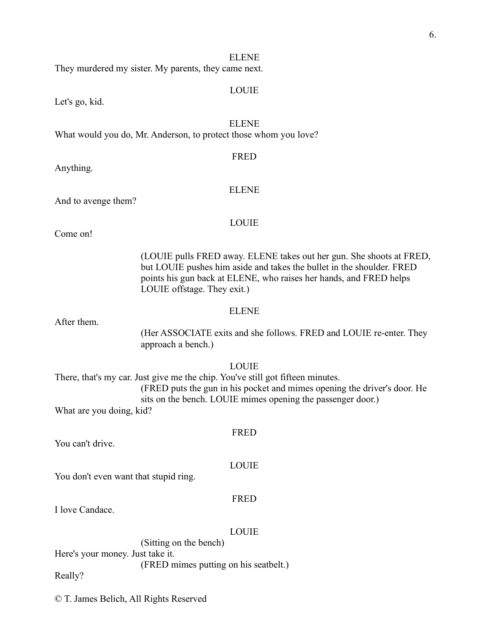#### ELENE

They murdered my sister. My parents, they came next.

#### LOUIE

Let's go, kid.

#### ELENE

What would you do, Mr. Anderson, to protect those whom you love?

#### FRED

Anything.

#### ELENE

And to avenge them?

#### LOUIE

Come on!

(LOUIE pulls FRED away. ELENE takes out her gun. She shoots at FRED, but LOUIE pushes him aside and takes the bullet in the shoulder. FRED points his gun back at ELENE, who raises her hands, and FRED helps LOUIE offstage. They exit.)

#### ELENE

After them.

(Her ASSOCIATE exits and she follows. FRED and LOUIE re-enter. They approach a bench.)

#### LOUIE

There, that's my car. Just give me the chip. You've still got fifteen minutes. (FRED puts the gun in his pocket and mimes opening the driver's door. He sits on the bench. LOUIE mimes opening the passenger door.) What are you doing, kid?

FRED

You can't drive.

You don't even want that stupid ring.

#### FRED

LOUIE

I love Candace.

#### LOUIE

(Sitting on the bench) Here's your money. Just take it. (FRED mimes putting on his seatbelt.) Really?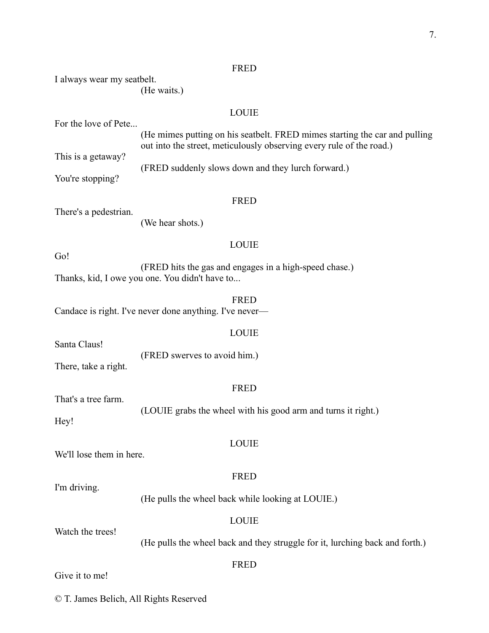#### FRED

| I always wear my seatbelt.             | (He waits.)                                                                                                                                        |
|----------------------------------------|----------------------------------------------------------------------------------------------------------------------------------------------------|
|                                        | <b>LOUIE</b>                                                                                                                                       |
| For the love of Pete                   | (He mimes putting on his seatbelt. FRED mimes starting the car and pulling<br>out into the street, meticulously observing every rule of the road.) |
| This is a getaway?<br>You're stopping? | (FRED suddenly slows down and they lurch forward.)                                                                                                 |
|                                        | <b>FRED</b>                                                                                                                                        |
| There's a pedestrian.                  | (We hear shots.)                                                                                                                                   |
|                                        | <b>LOUIE</b>                                                                                                                                       |
| Go!                                    | (FRED hits the gas and engages in a high-speed chase.)<br>Thanks, kid, I owe you one. You didn't have to                                           |
|                                        | <b>FRED</b><br>Candace is right. I've never done anything. I've never—                                                                             |
|                                        | <b>LOUIE</b>                                                                                                                                       |
| Santa Claus!<br>There, take a right.   | (FRED swerves to avoid him.)                                                                                                                       |
|                                        | <b>FRED</b>                                                                                                                                        |
| That's a tree farm.<br>Hey!            | (LOUIE grabs the wheel with his good arm and turns it right.)                                                                                      |
| We'll lose them in here.               | <b>LOUIE</b>                                                                                                                                       |
| I'm driving.                           | <b>FRED</b>                                                                                                                                        |
|                                        | (He pulls the wheel back while looking at LOUIE.)                                                                                                  |
| Watch the trees!                       | <b>LOUIE</b>                                                                                                                                       |
|                                        | (He pulls the wheel back and they struggle for it, lurching back and forth.)                                                                       |
| Give it to me!                         | <b>FRED</b>                                                                                                                                        |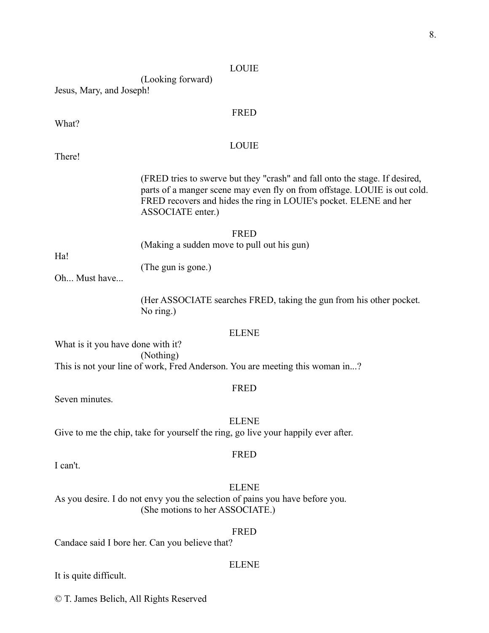(Looking forward) Jesus, Mary, and Joseph!

#### FRED

What?

#### LOUIE

There!

(FRED tries to swerve but they "crash" and fall onto the stage. If desired, parts of a manger scene may even fly on from offstage. LOUIE is out cold. FRED recovers and hides the ring in LOUIE's pocket. ELENE and her ASSOCIATE enter.)

FRED (Making a sudden move to pull out his gun)

Ha!

(The gun is gone.)

Oh... Must have...

(Her ASSOCIATE searches FRED, taking the gun from his other pocket. No ring.)

#### ELENE

What is it you have done with it? (Nothing) This is not your line of work, Fred Anderson. You are meeting this woman in...?

#### FRED

Seven minutes.

ELENE

Give to me the chip, take for yourself the ring, go live your happily ever after.

I can't.

# FRED

ELENE As you desire. I do not envy you the selection of pains you have before you. (She motions to her ASSOCIATE.)

#### FRED

ELENE

Candace said I bore her. Can you believe that?

It is quite difficult.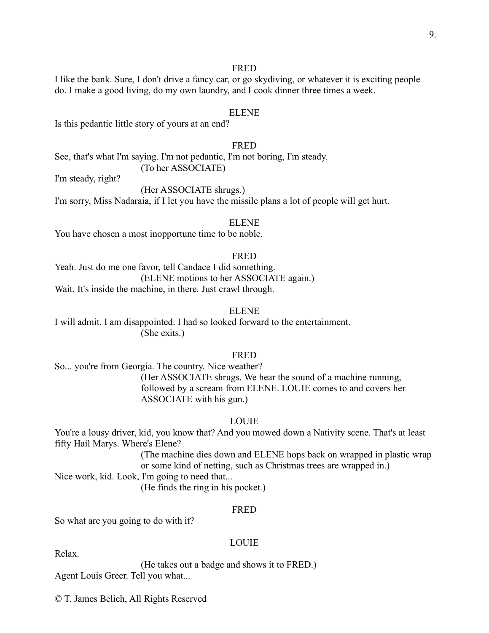#### FRED

I like the bank. Sure, I don't drive a fancy car, or go skydiving, or whatever it is exciting people do. I make a good living, do my own laundry, and I cook dinner three times a week.

#### ELENE

Is this pedantic little story of yours at an end?

#### FRED

See, that's what I'm saying. I'm not pedantic, I'm not boring, I'm steady.

(To her ASSOCIATE)

I'm steady, right?

(Her ASSOCIATE shrugs.)

I'm sorry, Miss Nadaraia, if I let you have the missile plans a lot of people will get hurt.

#### ELENE

You have chosen a most inopportune time to be noble.

#### FRED

Yeah. Just do me one favor, tell Candace I did something. (ELENE motions to her ASSOCIATE again.) Wait. It's inside the machine, in there. Just crawl through.

#### ELENE

I will admit, I am disappointed. I had so looked forward to the entertainment. (She exits.)

#### FRED

So... you're from Georgia. The country. Nice weather? (Her ASSOCIATE shrugs. We hear the sound of a machine running, followed by a scream from ELENE. LOUIE comes to and covers her ASSOCIATE with his gun.)

#### LOUIE

You're a lousy driver, kid, you know that? And you mowed down a Nativity scene. That's at least fifty Hail Marys. Where's Elene?

> (The machine dies down and ELENE hops back on wrapped in plastic wrap or some kind of netting, such as Christmas trees are wrapped in.)

Nice work, kid. Look, I'm going to need that...

(He finds the ring in his pocket.)

#### FRED

So what are you going to do with it?

#### LOUIE

Relax.

(He takes out a badge and shows it to FRED.) Agent Louis Greer. Tell you what...